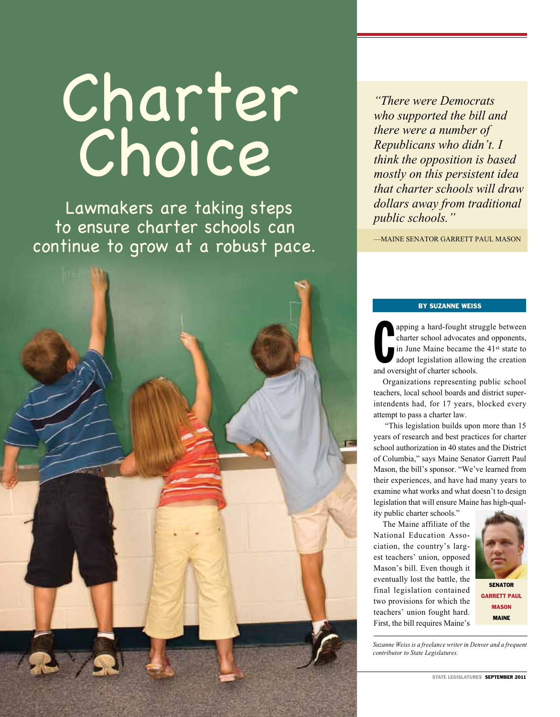# Charter Choice

Lawmakers are taking steps to ensure charter schools can continue to grow at a robust pace. *who supported the bill and there were a number of Republicans who didn't. I think the opposition is based mostly on this persistent idea that charter schools will draw* 

*public schools."*

*"There were Democrats* 

—Maine Senator Garrett Paul Mason

*dollars away from traditional* 

## By Suzanne Weiss

apping a hard-fought streamer<br>charter school advocates<br>in June Maine became the<br>adopt legislation allowing<br>and oversight of charter schools. apping a hard-fought struggle between charter school advocates and opponents, in June Maine became the 41st state to adopt legislation allowing the creation

Organizations representing public school teachers, local school boards and district superintendents had, for 17 years, blocked every attempt to pass a charter law.

 "This legislation builds upon more than 15 years of research and best practices for charter school authorization in 40 states and the District of Columbia," says Maine Senator Garrett Paul Mason, the bill's sponsor. "We've learned from their experiences, and have had many years to examine what works and what doesn't to design legislation that will ensure Maine has high-quality public charter schools."

The Maine affiliate of the National Education Association, the country's largest teachers' union, opposed Mason's bill. Even though it eventually lost the battle, the final legislation contained two provisions for which the teachers' union fought hard. First, the bill requires Maine's



*Suzanne Weiss is a freelance writer in Denver and a frequent contributor to State Legislatures.* 

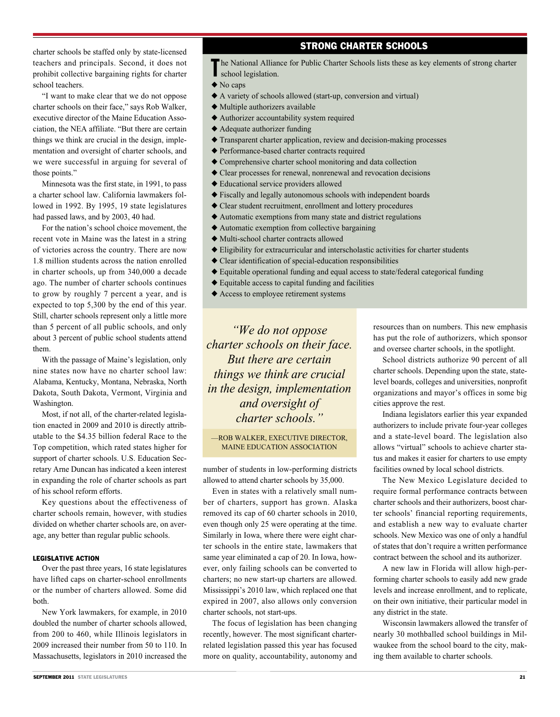# Strong Charter Schools

charter schools be staffed only by state-licensed teachers and principals. Second, it does not prohibit collective bargaining rights for charter school teachers.

"I want to make clear that we do not oppose charter schools on their face," says Rob Walker, executive director of the Maine Education Association, the NEA affiliate. "But there are certain things we think are crucial in the design, implementation and oversight of charter schools, and we were successful in arguing for several of those points."

Minnesota was the first state, in 1991, to pass a charter school law. California lawmakers followed in 1992. By 1995, 19 state legislatures had passed laws, and by 2003, 40 had.

For the nation's school choice movement, the recent vote in Maine was the latest in a string of victories across the country. There are now 1.8 million students across the nation enrolled in charter schools, up from 340,000 a decade ago. The number of charter schools continues to grow by roughly 7 percent a year, and is expected to top 5,300 by the end of this year. Still, charter schools represent only a little more than 5 percent of all public schools, and only about 3 percent of public school students attend them.

With the passage of Maine's legislation, only nine states now have no charter school law: Alabama, Kentucky, Montana, Nebraska, North Dakota, South Dakota, Vermont, Virginia and Washington.

Most, if not all, of the charter-related legislation enacted in 2009 and 2010 is directly attributable to the \$4.35 billion federal Race to the Top competition, which rated states higher for support of charter schools. U.S. Education Secretary Arne Duncan has indicated a keen interest in expanding the role of charter schools as part of his school reform efforts.

Key questions about the effectiveness of charter schools remain, however, with studies divided on whether charter schools are, on average, any better than regular public schools.

#### LEGISLATIVE ACTION

Over the past three years, 16 state legislatures have lifted caps on charter-school enrollments or the number of charters allowed. Some did both.

New York lawmakers, for example, in 2010 doubled the number of charter schools allowed, from 200 to 460, while Illinois legislators in 2009 increased their number from 50 to 110. In Massachusetts, legislators in 2010 increased the

# The National Alliance for Public Charter Schools lists these as key elements of strong charter school legislation. school legislation.

- $\blacklozenge$  No caps
- $\triangle$  A variety of schools allowed (start-up, conversion and virtual)
- $\blacklozenge$  Multiple authorizers available
- $\triangle$  Authorizer accountability system required
- $\triangle$  Adequate authorizer funding
- $\triangle$  Transparent charter application, review and decision-making processes
- $\blacklozenge$  Performance-based charter contracts required
- $\blacklozenge$  Comprehensive charter school monitoring and data collection
- $\triangle$  Clear processes for renewal, nonrenewal and revocation decisions
- $\triangle$  Educational service providers allowed
- $\triangle$  Fiscally and legally autonomous schools with independent boards
- $\triangle$  Clear student recruitment, enrollment and lottery procedures
- $\blacklozenge$  Automatic exemptions from many state and district regulations
- $\triangle$  Automatic exemption from collective bargaining
- $\blacklozenge$  Multi-school charter contracts allowed
- $\blacklozenge$  Eligibility for extracurricular and interscholastic activities for charter students
- $\triangle$  Clear identification of special-education responsibilities
- $\blacklozenge$  Equitable operational funding and equal access to state/federal categorical funding
- $\triangle$  Equitable access to capital funding and facilities
- $\triangle$  Access to employee retirement systems

*"We do not oppose charter schools on their face. But there are certain things we think are crucial in the design, implementation and oversight of charter schools."*

—Rob Walker, executive director, Maine Education Association

number of students in low-performing districts allowed to attend charter schools by 35,000.

Even in states with a relatively small number of charters, support has grown. Alaska removed its cap of 60 charter schools in 2010, even though only 25 were operating at the time. Similarly in Iowa, where there were eight charter schools in the entire state, lawmakers that same year eliminated a cap of 20. In Iowa, however, only failing schools can be converted to charters; no new start-up charters are allowed. Mississippi's 2010 law, which replaced one that expired in 2007, also allows only conversion charter schools, not start-ups.

The focus of legislation has been changing recently, however. The most significant charterrelated legislation passed this year has focused more on quality, accountability, autonomy and resources than on numbers. This new emphasis has put the role of authorizers, which sponsor and oversee charter schools, in the spotlight.

School districts authorize 90 percent of all charter schools. Depending upon the state, statelevel boards, colleges and universities, nonprofit organizations and mayor's offices in some big cities approve the rest.

Indiana legislators earlier this year expanded authorizers to include private four-year colleges and a state-level board. The legislation also allows "virtual" schools to achieve charter status and makes it easier for charters to use empty facilities owned by local school districts.

The New Mexico Legislature decided to require formal performance contracts between charter schools and their authorizers, boost charter schools' financial reporting requirements, and establish a new way to evaluate charter schools. New Mexico was one of only a handful of states that don't require a written performance contract between the school and its authorizer.

A new law in Florida will allow high-performing charter schools to easily add new grade levels and increase enrollment, and to replicate, on their own initiative, their particular model in any district in the state.

Wisconsin lawmakers allowed the transfer of nearly 30 mothballed school buildings in Milwaukee from the school board to the city, making them available to charter schools.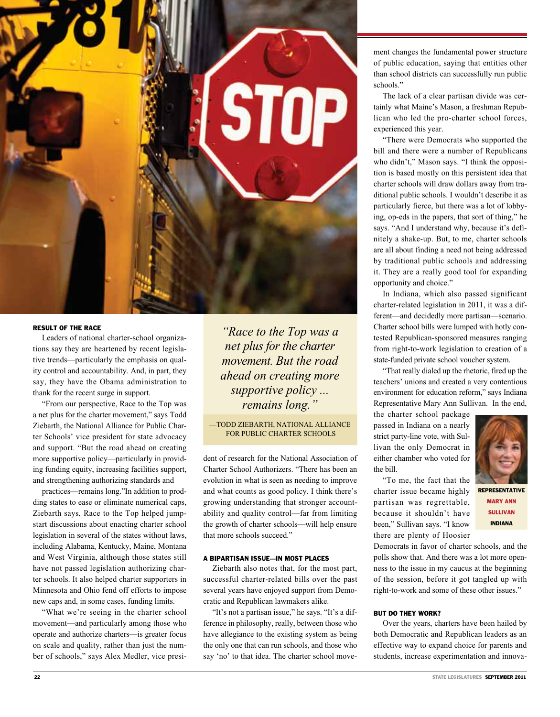

## RESULT OF THE RACE

Leaders of national charter-school organizations say they are heartened by recent legislative trends—particularly the emphasis on quality control and accountability. And, in part, they say, they have the Obama administration to thank for the recent surge in support.

"From our perspective, Race to the Top was a net plus for the charter movement," says Todd Ziebarth, the National Alliance for Public Charter Schools' vice president for state advocacy and support. "But the road ahead on creating more supportive policy—particularly in providing funding equity, increasing facilities support, and strengthening authorizing standards and

practices—remains long."In addition to prodding states to ease or eliminate numerical caps, Ziebarth says, Race to the Top helped jumpstart discussions about enacting charter school legislation in several of the states without laws, including Alabama, Kentucky, Maine, Montana and West Virginia, although those states still have not passed legislation authorizing charter schools. It also helped charter supporters in Minnesota and Ohio fend off efforts to impose new caps and, in some cases, funding limits.

"What we're seeing in the charter school movement—and particularly among those who operate and authorize charters—is greater focus on scale and quality, rather than just the number of schools," says Alex Medler, vice presi-

*"Race to the Top was a net plus for the charter movement. But the road ahead on creating more supportive policy ... remains long."*

—Todd Ziebarth, National Alliance for Public Charter Schools

dent of research for the National Association of Charter School Authorizers. "There has been an evolution in what is seen as needing to improve and what counts as good policy. I think there's growing understanding that stronger accountability and quality control—far from limiting the growth of charter schools—will help ensure that more schools succeed."

#### A BIPARTISAN ISSUE—IN MOST PLACES

Ziebarth also notes that, for the most part, successful charter-related bills over the past several years have enjoyed support from Democratic and Republican lawmakers alike.

"It's not a partisan issue," he says. "It's a difference in philosophy, really, between those who have allegiance to the existing system as being the only one that can run schools, and those who say 'no' to that idea. The charter school movement changes the fundamental power structure of public education, saying that entities other than school districts can successfully run public schools."

The lack of a clear partisan divide was certainly what Maine's Mason, a freshman Republican who led the pro-charter school forces, experienced this year.

"There were Democrats who supported the bill and there were a number of Republicans who didn't," Mason says. "I think the opposition is based mostly on this persistent idea that charter schools will draw dollars away from traditional public schools. I wouldn't describe it as particularly fierce, but there was a lot of lobbying, op-eds in the papers, that sort of thing," he says. "And I understand why, because it's definitely a shake-up. But, to me, charter schools are all about finding a need not being addressed by traditional public schools and addressing it. They are a really good tool for expanding opportunity and choice."

In Indiana, which also passed significant charter-related legislation in 2011, it was a different—and decidedly more partisan—scenario. Charter school bills were lumped with hotly contested Republican-sponsored measures ranging from right-to-work legislation to creation of a state-funded private school voucher system.

"That really dialed up the rhetoric, fired up the teachers' unions and created a very contentious environment for education reform," says Indiana Representative Mary Ann Sullivan. In the end,

the charter school package passed in Indiana on a nearly strict party-line vote, with Sullivan the only Democrat in either chamber who voted for the bill.

"To me, the fact that the charter issue became highly partisan was regrettable, because it shouldn't have been," Sullivan says. "I know there are plenty of Hoosier



Mary Ann Sullivan Indiana

Democrats in favor of charter schools, and the polls show that. And there was a lot more openness to the issue in my caucus at the beginning of the session, before it got tangled up with right-to-work and some of these other issues."

### BUT DO THEY WORK?

Over the years, charters have been hailed by both Democratic and Republican leaders as an effective way to expand choice for parents and students, increase experimentation and innova-